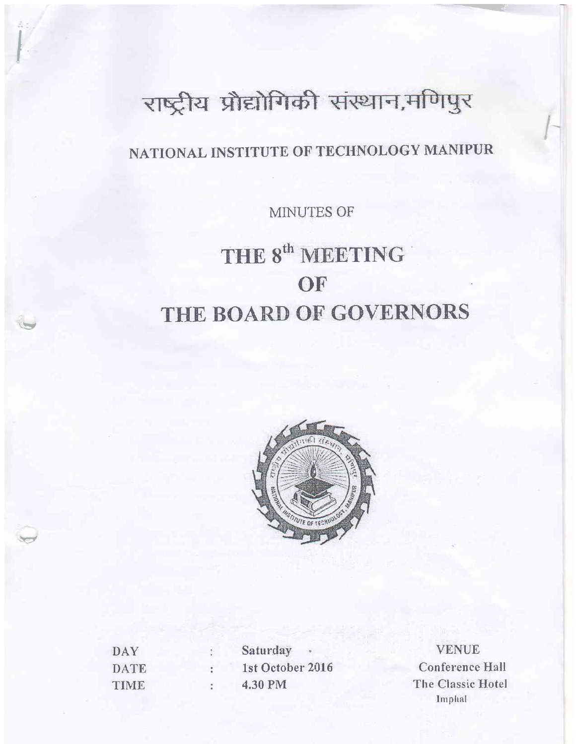# राष्ट्रीय प्रौद्योगिकी संस्थान,मणिपुर

# NATIONAL INSTITUTE OF TECHNOLOGY MANIPUR

MINUTES OF

# THE 8<sup>th</sup> MEETING OF THE BOARD OF GOVERNORS



**DAY DATE** TIME

Saturday 1st October 2016 4.30 PM

**VENUE Conference Hall** The Classic Hotel Imphal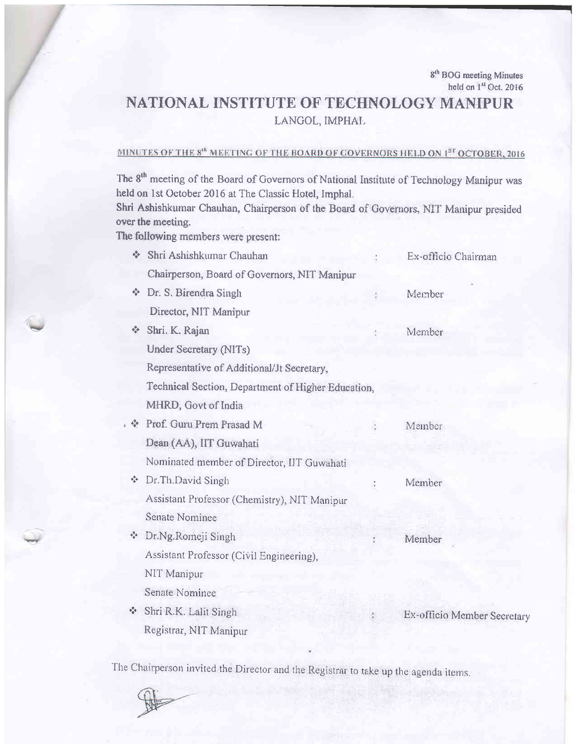## NATIONAL INSTITUTE OF TECHNOLOGY MANIPUR LANGOL, IMPHAL

## MINUTES OF THE 8<sup>th</sup> MEETING OF THE BOARD OF GOVERNORS HELD ON 1<sup>ST</sup> OCTOBER, 2016

The 8<sup>th</sup> meeting of the Board of Governors of National Institute of Technology Manipur was held on 1st October 2016 at The Classic Hotel, Imphal.

Shri Ashishkumar Chauhan, Chairperson of the Board of Governors, NIT Manipur presided over the meeting.

The following members were present:

|                                                    | ŵ                                    | Shri Ashishkumar Chauhan                     |  | Ex-officio Chairman         |
|----------------------------------------------------|--------------------------------------|----------------------------------------------|--|-----------------------------|
|                                                    |                                      | Chairperson, Board of Governors, NIT Manipur |  |                             |
|                                                    | ή×.                                  | Dr. S. Birendra Singh                        |  | Member                      |
|                                                    |                                      | Director, NIT Manipur                        |  |                             |
|                                                    | -3                                   | Shri. K. Rajan                               |  | Member                      |
|                                                    |                                      | <b>Under Secretary (NITs)</b>                |  |                             |
|                                                    |                                      | Representative of Additional/Jt Secretary,   |  |                             |
| Technical Section, Department of Higher Education, |                                      |                                              |  |                             |
|                                                    |                                      | MHRD, Govt of India                          |  |                             |
|                                                    |                                      | ↓ Drof. Guru Prem Prasad M                   |  | Member                      |
|                                                    |                                      | Dean (AA), IIT Guwahati                      |  |                             |
|                                                    |                                      | Nominated member of Director, IIT Guwahati   |  |                             |
|                                                    | $\mathbf{e}_\mathrm{g}^\mathrm{p}$   | Dr.Th.David Singh                            |  | Member                      |
|                                                    |                                      | Assistant Professor (Chemistry), NIT Manipur |  |                             |
|                                                    |                                      | Senate Nominee                               |  |                             |
|                                                    | н,                                   | Dr.Ng.Romeji Singh                           |  | Member                      |
|                                                    |                                      | Assistant Professor (Civil Engineering),     |  |                             |
|                                                    |                                      | NIT Manipur                                  |  |                             |
|                                                    |                                      | Senate Nominee                               |  |                             |
|                                                    | $\mathbf{e}_\mathbf{q}^\mathbf{e}$ . | Shri R.K. Lalit Singh                        |  | Ex-officio Member Secretary |
|                                                    |                                      | Registrar, NIT Manipur                       |  |                             |

The Chairperson invited the Director and the Registrar to take up the agenda items.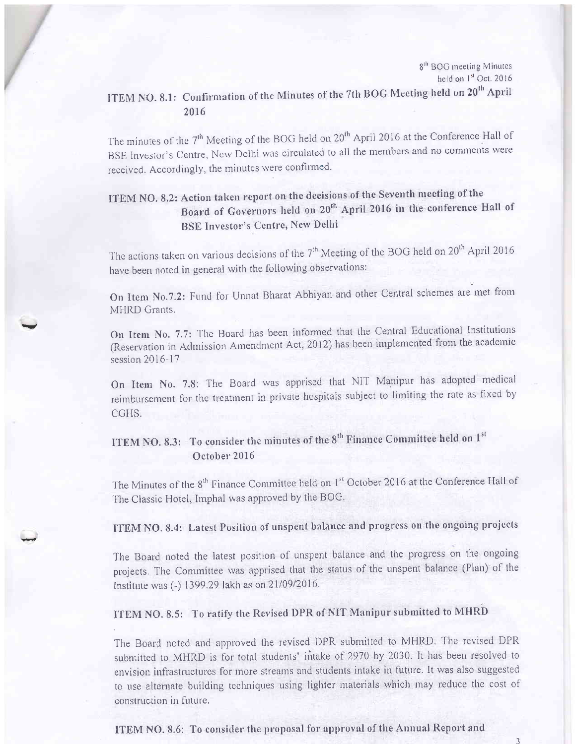## ITEM NO. 8.1: Confirmation of the Minutes of the 7th BOG Meeting held on 20<sup>th</sup> April 2016

The minutes of the 7<sup>th</sup> Meeting of the BOG held on 20<sup>th</sup> April 2016 at the Conference Hall of BSE Investor's Centre, New Delhi was circulated to all the members and no comments were received. Accordingly, the minutes were confirmed.

### ITEM NO. 8.2: Action taken report on the decisions of the Seventh meeting of the Board of Governors held on 20<sup>th</sup> April 2016 in the conference Hall of **BSE Investor's Centre, New Delhi**

The actions taken on various decisions of the 7<sup>th</sup> Meeting of the BOG held on 20<sup>th</sup> April 2016 have been noted in general with the following observations:

On Item No.7.2: Fund for Unnat Bharat Abhiyan and other Central schemes are met from MHRD Grants.

On Item No. 7.7: The Board has been informed that the Central Educational Institutions (Reservation in Admission Amendment Act, 2012) has been implemented from the academic session 2016-17

On Item No. 7.8: The Board was apprised that NIT Manipur has adopted medical reimbursement for the treatment in private hospitals subject to limiting the rate as fixed by CGHS.

ITEM NO. 8.3: To consider the minutes of the 8<sup>th</sup> Finance Committee held on 1<sup>st</sup> October 2016

The Minutes of the 8<sup>th</sup> Finance Committee held on 1<sup>st</sup> October 2016 at the Conference Hall of The Classic Hotel, Imphal was approved by the BOG.

ITEM NO. 8.4: Latest Position of unspent balance and progress on the ongoing projects

The Board noted the latest position of unspent balance and the progress on the ongoing projects. The Committee was apprised that the status of the unspent balance (Plan) of the Institute was (-) 1399.29 lakh as on 21/09/2016.

### ITEM NO. 8.5: To ratify the Revised DPR of NIT Manipur submitted to MHRD

The Board noted and approved the revised DPR submitted to MHRD. The revised DPR submitted to MHRD is for total students' intake of 2970 by 2030. It has been resolved to envision infrastructures for more streams and students intake in future. It was also suggested to use alternate building techniques using lighter materials which may reduce the cost of construction in future.

ITEM NO. 8.6: To consider the proposal for approval of the Annual Report and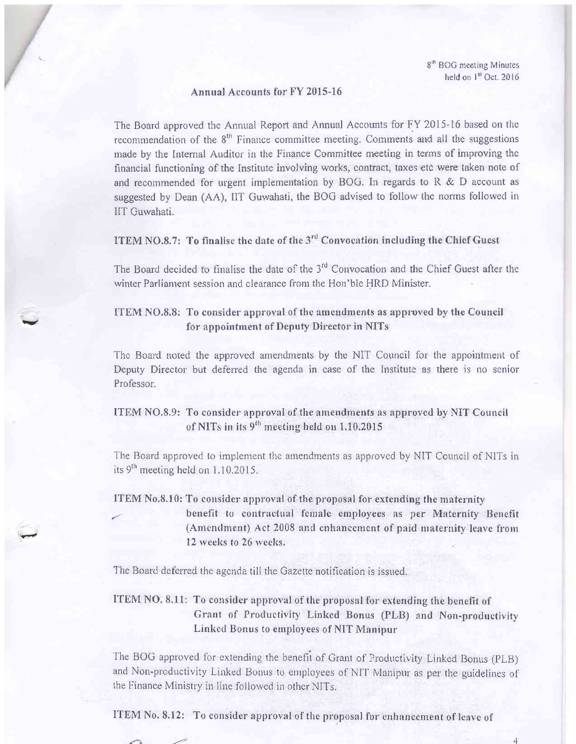$\triangleleft$ 

#### Annual Accounts for FY 2015-16

The Board approved the Annual Report and Annual Accounts for FY 2015-16 based on the recommendation of the 8<sup>th</sup> Finance committee meeting. Comments and all the suggestions made by the Internal Auditor in the Finance Committee meeting in terms of improving the financial functioning of the Institute involving works, contract, taxes etc were taken note of and recommended for urgent implementation by BOG. In regards to  $R \& D$  account as suggested by Dean (AA), IIT Guwahati, the BOG advised to follow the norms followed in IIT Guwahati.

ITEM NO.8.7: To finalise the date of the 3<sup>rd</sup> Convocation including the Chief Guest

The Board decided to finalise the date of the 3<sup>rd</sup> Convocation and the Chief Guest after the winter Parliament session and clearance from the Hon'ble HRD Minister.

#### ITEM NO.8.8: To consider approval of the amendments as approved by the Council for appointment of Deputy Director in NITs

The Board noted the approved amendments by the NIT Council for the appointment of Deputy Director but deferred the agenda in case of the Institute as there is no senior Professor.

### ITEM NO.8.9: To consider approval of the amendments as approved by NIT Council of NITs in its 9<sup>th</sup> meeting held on 1.10.2015

The Board approved to implement the amendments as approved by NIT Council of NITs in its  $9<sup>th</sup>$  meeting held on 1.10.2015.

#### ITEM No.8.10: To consider approval of the proposal for extending the maternity benefit to contractual female employees as per Maternity Benefit (Amendment) Act 2008 and enhancement of paid maternity leave from 12 weeks to 26 weeks.

The Board deferred the agenda till the Gazette notification is issued.

#### **ITEM NO. 8.11:** To consider approval of the proposal for extending the benefit of Grant of Productivity Linked Bonus (PLB) and Non-productivity Linked Bonus to employees of NIT Manipur

The BOG approved for extending the benefit of Grant of Productivity Linked Bonus (PLB) and Non-productivity Linked Bonus to employees of NIT Manipur as per the guidelines of the Finance Ministry in line followed in other NITs.

ITEM No. 8.12: To consider approval of the proposal for enhancement of leave of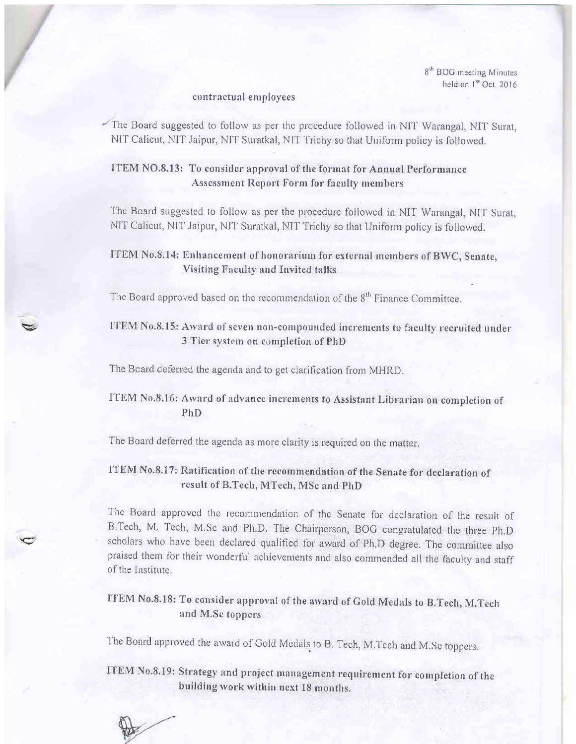#### contractual employees

The Board suggested to follow as per the procedure followed in NIT Warangal, NIT Surat, NIT Calicut, NIT Jaipur, NIT Suratkal, NIT Trichy so that Uniform policy is followed.

#### ITEM NO.8.13: To consider approval of the format for Annual Performance **Assessment Report Form for faculty members**

The Board suggested to follow as per the procedure followed in NIT Warangal, NIT Surat, NIT Calicut, NIT Jaipur, NIT Suratkal, NIT Trichy so that Uniform policy is followed.

#### ITEM No.8.14: Enhancement of honorarium for external members of BWC, Senate, Visiting Faculty and Invited talks

The Board approved based on the recommendation of the 8<sup>th</sup> Finance Committee.

#### ITEM No.8.15: Award of seven non-compounded increments to faculty recruited under 3 Tier system on completion of PhD

The Beard deferred the agenda and to get clarification from MHRD.

#### ITEM No.8.16: Award of advance increments to Assistant Librarian on completion of PhD.

The Board deferred the agenda as more clarity is required on the matter.

#### ITEM No.8.17: Ratification of the recommendation of the Senate for declaration of result of B.Tech, MTech, MSc and PhD

The Board approved the recommendation of the Senate for declaration of the result of B.Tech, M. Tech, M.Sc and Ph.D. The Chairperson, BOG congratulated the three Ph.D scholars who have been declared qualified for award of Ph.D degree. The committee also praised them for their wonderful achievements and also commended all the faculty and staff of the Institute.

### ITEM No.8.18: To consider approval of the award of Gold Medals to B.Tech, M.Tech and M.Se toppers

The Board approved the award of Gold Medals to B. Tech, M.Tech and M.Sc toppers.

ITEM No.8.19: Strategy and project management requirement for completion of the building work within next 18 months.